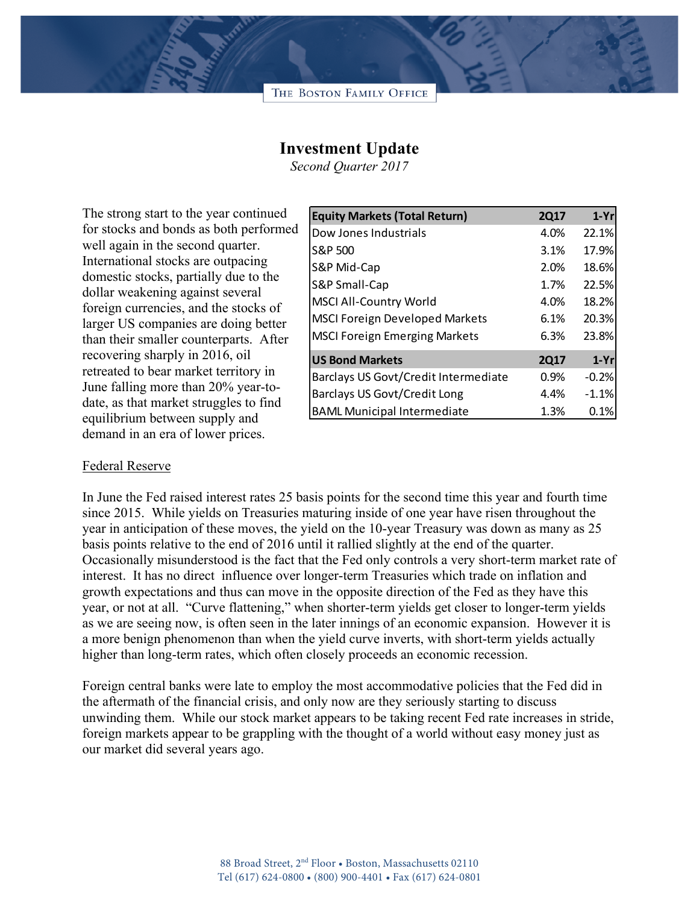## **Investment Update**

*Second Quarter 2017*

The strong start to the year continued for stocks and bonds as both performed well again in the second quarter. International stocks are outpacing domestic stocks, partially due to the dollar weakening against several foreign currencies, and the stocks of larger US companies are doing better than their smaller counterparts. After recovering sharply in 2016, oil retreated to bear market territory in June falling more than 20% year-todate, as that market struggles to find equilibrium between supply and demand in an era of lower prices.

| <b>Equity Markets (Total Return)</b>  | <b>2Q17</b> | $1-Yr$  |
|---------------------------------------|-------------|---------|
| Dow Jones Industrials                 | 4.0%        | 22.1%   |
| S&P 500                               | 3.1%        | 17.9%   |
| S&P Mid-Cap                           | 2.0%        | 18.6%   |
| S&P Small-Cap                         | 1.7%        | 22.5%   |
| <b>MSCI All-Country World</b>         | 4.0%        | 18.2%   |
| <b>MSCI Foreign Developed Markets</b> | 6.1%        | 20.3%   |
| <b>MSCI Foreign Emerging Markets</b>  | 6.3%        | 23.8%   |
| <b>US Bond Markets</b>                | <b>2Q17</b> | $1-Yr$  |
| Barclays US Govt/Credit Intermediate  | 0.9%        | $-0.2%$ |
| <b>Barclays US Govt/Credit Long</b>   | 4.4%        | $-1.1%$ |
| <b>BAML Municipal Intermediate</b>    | 1.3%        | 0.1%    |

## Federal Reserve

In June the Fed raised interest rates 25 basis points for the second time this year and fourth time since 2015. While yields on Treasuries maturing inside of one year have risen throughout the year in anticipation of these moves, the yield on the 10-year Treasury was down as many as 25 basis points relative to the end of 2016 until it rallied slightly at the end of the quarter. Occasionally misunderstood is the fact that the Fed only controls a very short-term market rate of interest. It has no direct influence over longer-term Treasuries which trade on inflation and growth expectations and thus can move in the opposite direction of the Fed as they have this year, or not at all. "Curve flattening," when shorter-term yields get closer to longer-term yields as we are seeing now, is often seen in the later innings of an economic expansion. However it is a more benign phenomenon than when the yield curve inverts, with short-term yields actually higher than long-term rates, which often closely proceeds an economic recession.

Foreign central banks were late to employ the most accommodative policies that the Fed did in the aftermath of the financial crisis, and only now are they seriously starting to discuss unwinding them. While our stock market appears to be taking recent Fed rate increases in stride, foreign markets appear to be grappling with the thought of a world without easy money just as our market did several years ago.